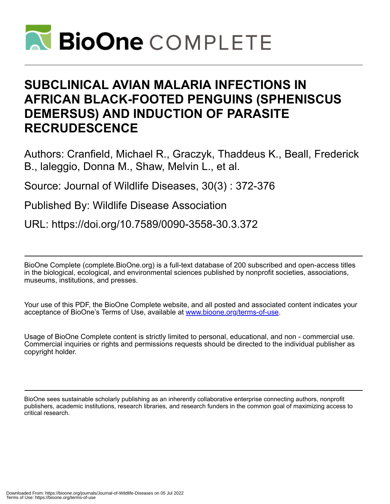

# **SUBCLINICAL AVIAN MALARIA INFECTIONS IN AFRICAN BLACK-FOOTED PENGUINS (SPHENISCUS DEMERSUS) AND INDUCTION OF PARASITE RECRUDESCENCE**

Authors: Cranfield, Michael R., Graczyk, Thaddeus K., Beall, Frederick B., laleggio, Donna M., Shaw, Melvin L., et al.

Source: Journal of Wildlife Diseases, 30(3) : 372-376

Published By: Wildlife Disease Association

URL: https://doi.org/10.7589/0090-3558-30.3.372

BioOne Complete (complete.BioOne.org) is a full-text database of 200 subscribed and open-access titles in the biological, ecological, and environmental sciences published by nonprofit societies, associations, museums, institutions, and presses.

Your use of this PDF, the BioOne Complete website, and all posted and associated content indicates your acceptance of BioOne's Terms of Use, available at www.bioone.org/terms-of-use.

Usage of BioOne Complete content is strictly limited to personal, educational, and non - commercial use. Commercial inquiries or rights and permissions requests should be directed to the individual publisher as copyright holder.

BioOne sees sustainable scholarly publishing as an inherently collaborative enterprise connecting authors, nonprofit publishers, academic institutions, research libraries, and research funders in the common goal of maximizing access to critical research.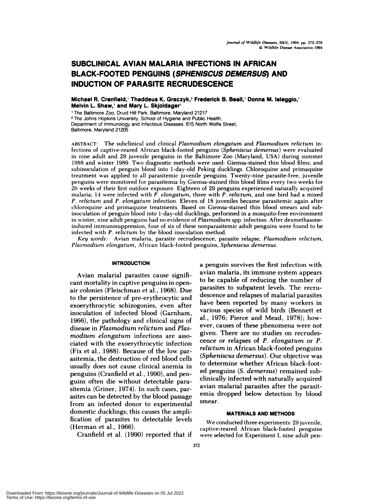# **SUBCLINICAL AVIAN MALARIA INFECTIONS IN AFRICAN BLACK-FOOTED PENGUINS (SPHENISCUS DEMERSUS) AND INDUCTION OF PARASITE RECRUDESCENCE**

**Michael R. Cranfield,1 Thaddeus K. Graczyk,2 Frederick B. Beall, Donna M. Ialeggio, Melvin L. Shaw, and Mary L.Skjoldager**

<sup>1</sup> The Baltimore Zoo, Druid Hill Park, Baltimore, Maryland 21217 <sup>2</sup> The Johns Hopkins University, School of Hygiene and Public Health,

Department of Immunology and Infectious Diseases, 615 North Wolfe Street, Baltimore, Maryland 21205

**ABSTRACT:** The subclinical and clinical *Plasmodium elongatum* and *Plasmodium relictum* infections of captive-reared African black-footed penguins *(Spheniscus demersus)* were evaluated in nine adult and 29 juvenile penguins in the Baltimore Zoo (Maryland, USA) during summer 1988 and winter 1989. Two diagnostic methods were used: Giemsa-stained thin blood films, and subinoculation of penguin blood into 1-day-old Peking ducklings. Chloroquine and primaquine treatment was applied to all parasitemic juvenile penguins. Twenty-nine parasite-free, juvenile penguins were monitored for parasitemia by Giemsa-stained thin blood films every two weeks for 26 weeks of their first outdoor exposure. Eighteen of 29 penguins experienced naturally acquired malaria; 14 were infected with *P. elongatum,* three with *P. relictum,* and one bird had a mixed *P. relictum* and *P. elongatum* infection. Eleven of 18 juveniles became parasitemic again after chloroquine and primaquine treatments. Based on Giemsa-stained thin blood smears and subinoculation of penguin blood into 1-day-old ducklings, performed in a mosquito-free environment in winter, nine adult penguins had no evidence of *Plasmodium* spp. infection. After dexmethasoneinduced immunosuppression, four of six of these nonparasitemic adult penguins were found to be infected with *P. relictum* by the blood inoculation method.

*Key words:* Avian malaria, parasite recrudescence, parasite relapse, *Plasmodium relictum, Plasmodium elongatum,* African black-footed penguins, Spheniscus demersus.

#### **INTRODUCTION**

Avian malarial parasites cause significant mortality in captive penguins in openair colonies (Fleischman et al., 1968). Due to the persistence of pre-erythrocytic and exoenythnocytic schizogonies, even after inoculation of infected blood (Garnham, 1966), the pathology and clinical signs of disease in *Plasmodium relictum* and *Plasmodiurn elongaturn* infections are asso ciated with the exoerythrocytic infection (Fix et al., 1988). Because of the low panasitemia, the destruction of red blood cells usually does not cause clinical anemia in penguins (Cranfield et a!., 1990), and penguins often die without detectable panasitemia (Grinen, 1974). In such cases, parasites can be detected by the blood passage from an infected donor to experimental domestic ducklings; this causes the amplification of parasites to detectable levels (Herman et al., 1966).

Cranfield et al. (1990) reported that if

a penguin survives the first infection with avian malaria, its immune system appears to be capable of reducing the number of parasites to subpatent levels. The recrudescence and relapses of malarial parasites have been reported by many workers in various species of wild binds (Bennett et a!., 1976; Pierce and Mead, 1978); however, causes of these phenomena were not given. There are no studies on recrudes cence on relapses of *P. elongaturn* or *P. relictum* in African black-footed penguins *(Spheniscus demersus).* Our objective was to determine whether African black-footed penguins (S. *dernersus)* remained subclinically infected with naturally acquired avian malarial parasites after the parasitemia dropped below detection by blood smear.

#### **MATERIALS AND METHODS**

We conducted three experiments: 29 juvenile, captive-reared African black-footed penguins were selected for Experiment I, nine adult pen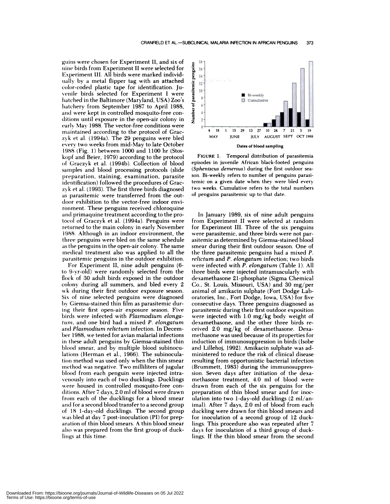gums were chosen for Experiment II, and six of**nine** birds from Experiment II were selected for Experiment III. All birds were marked individually by a metal flipper tag with an attached color-coded plastic tape for identification. Ju venile birds selected for Experiment I were hatched in the Baltimore (Maryland, USA) Zoo's hatchery from September 1987 to April 1988, and were kept in controlled mosquito-free con ditions until exposure in the open-air colony in early Max' 1988. The vector-free conditions were maintained according to the protocol of Graczyk et al. (1994a). The 29 penguins were bled every two weeks from mid-May to late October 1988 (Fig. 1) between 1000 and 1100 hr (Stoskopf and Beier, 1979) according to the protocol of Graczvk et al. (1994b). Collection of blood samples and blood processing protocols (slide preparation, staining, examination, parasite identification) followed the procedures of Graczyk etal. (1993). The first three birds diagnosed as parasitemic were transferred from the out door exhibition to the vector-free indoor environment. These penguins received chloroquine and primaquine treatment according to the protocol of Graczyk et al. (1994a). Penguins were returned to the main colony in early November 1988. Although in an indoor environment, the three penguins were bled on the same schedule as the penguins in the open-air colony. The same medical treatment also was applied to all the parasitemic penguins in the outdoor exhibition.

For Experiment II, nine adult penguins (6 to 9-yr-old) were randomly selected from the flock of 30 adult birds exposed in the outdoor colons' during all summers, and bled every 2 wk during their first outdoor exposure season. Six of nine selected penguins were diagnosed by Giemsa-stained thin film as parasitemic during their first open-air exposure season. Five birds were infected with *Plasmodium elongaturn,* and one bird had a mixed *P. elongatum* and *Plasmodium relictum* infection. In Decem ber 1988, we tested for avian malarial infections in these adult penguins by Giemsa-stained thin blood smear, and by multiple blood subinoculations (Herman et al., 1966). The subinocula**tion** method was used only when the thin smear method was negative. Two milliliters of jugular blood from each penguin were injected intra venously into each of two ducklings. Ducklings were housed in controlled mosquito-free con ditions. After 7 days, 2.0 mlof blood were drawn from each of the ducklings for a blood smear and for a second blood transfer to a second group of 18 1-day-old ducklings. The second group was bled at day 7 post-inoculation (PI) for preparation of thin blood smears. A thin blood smear also was prepared from the first group of ducklings at this time.



**Dates of** blood **sampling**

**FIGURE** 1. Temporal distribution of parasitemia episodes in juvenile African black-footed penguins *(Sphenlscus demersus)* during the first outdoor sea son. Bi-weekly refers to number of penguins parasitemic on a given date when they were bled every two weeks. Cumulative refers to the total numbers of penguins parasitemic up to that date.

In January 1989, six of nine adult penguins from Experiment II were selected at random for Experiment III. Three of the six penguins were parasitemic, and three birds were not parasitemic as determined by Giemsa-stained blood smear during their first outdoor season. One of the three parasitemic penguins had a mixed *P. relictum* and *P. elongatum* infection; two birds were infected with *P. elongatum* (Table 1). All three birds were injected intramuscularly with dexamethasone 21-phosphate (Sigma Chemical Co., St. Louis, Missouri, USA) and 30 mg/per animal of amikacin sulphate (Fort Dodge Laboratories, Inc., Fort Dodge, Iowa, USA) for five consecutive days. Three penguins diagnosed as parasitemic during their first outdoor exposition were injected with 1.0 mg/kg body weight of dexamethasone, and the other three birds re ceived 2.0 mg/kg of dexamethasone. Dexamethasone was used because of its properties for induction of immunosuppression in birds (Isobe and Lillehoj, 1992). Amikacin sulphate was administered to reduce the risk of clinical disease resulting from opportunistic bacterial infection (Brummett, 1983) during the immunosuppression. Seven days after initiation of the dexamethasone treatment, 4.0 ml of blood were drawn from each of the six penguins for the preparation of thin blood smear and for inoculation into two 1-day-old ducklings (2 ml/animal). After 7 days, 2.0 ml of blood from each duckling were drawn for thin blood smears and for inoculation of a second group of 12 ducklings. This procedure also was repeated after 7 days for inoculation of a third group of ducklings. If the thin blood smear from the second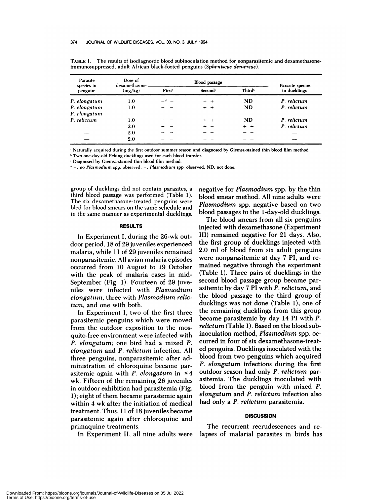| Parasite<br>species in<br>penguin <sup>-</sup> | Dose of<br>dexamethasone.<br>(mg/kg) | Blood passage      |                     |                    | Parasite species |
|------------------------------------------------|--------------------------------------|--------------------|---------------------|--------------------|------------------|
|                                                |                                      | First <sup>*</sup> | Second <sup>*</sup> | Third <sup>b</sup> | in ducklings     |
| P. elongatum                                   | 1.0                                  | — d —              | $+$ $+$             | <b>ND</b>          | P. relictum      |
| P. elongatum                                   | 1.0                                  |                    | $+$ $+$             | <b>ND</b>          | P. relictum      |
| P. elongatum                                   |                                      |                    |                     |                    |                  |
| P. relictum                                    | 1.0                                  |                    | $+$ $+$             | <b>ND</b>          | P. relictum      |
|                                                | 2.0                                  |                    |                     | $+$ +              | P. relictum      |
|                                                | 2.0                                  |                    |                     |                    |                  |
|                                                | 2.0                                  |                    |                     |                    |                  |

TABLE 1. The results of isodiagnostic blood subinoculation method for nonparasitemic and dexamethasoneimmunosuppressed, adult African black-footed penguins *(Spheniscus demersus).*

Naturally acquired during the first outdoor summer season **and diagnosed by Giemsa-stained thin** blood **film method.**

'Two one-day-old Peking ducklings used for each blood transfer.

Diagnosed by Giemsa-stained thin blood film method.

**-,** no *Plasmodium* spp. observed; **+,** *Plasmodlum* **spp.** observed; ND, not done.

group of ducklings did not contain parasites, a third blood passage was performed (Table 1). The six dexamethasone-treated penguins were bled for blood smears on the same schedule and in the same manner as experimental ducklings.

#### **RESULTS**

In Experiment I, during the 26-wk outdoor period, 18 of 29 juveniles experienced malaria, while 11 of 29 juveniles remained nonparasitemic. All avian malaria episodes occurred from 10 August to 19 October with the peak of malaria cases in mid-September (Fig. 1). Fourteen of 29 juveniles were infected with *Plasrnodium elongaturn,* three with *Plasmodiurn relic*tum, and one with both.

In Experiment I, two of the first three parasitemic penguins which were moved from the outdoor exposition to the mosquito-free environment were infected with *P. elongaturn;* one bind had a mixed *P. elongaturn* and *P. relictum* infection. All three penguins, nonpanasitemic after administration of chloroquine became parasitemic again with *P. elongatum* in  $\leq 4$ wk. Fifteen of the remaining 26 juveniles in outdoor exhibition had parasitemia (Fig. 1); eight of them became parastemic again within 4 wk after the initiation of medical treatment. Thus, 11 of 18 juveniles became parasitemic again after chloroquine and primaquine treatments.

In Experiment II, all nine adults were

negative for *Plasmodium* spp. by the thin blood smear method. Al! nine adults were *Plasmodium* spp. negative based on two blood passages to the 1-day-old ducklings.

The blood smears from all six penguins injected with dexamethasone (Experiment III) remained negative for 21 days. Also, the first group of ducklings injected with 2.0 ml of blood from six adult penguins were nonparasitemic at day 7 P1, and re mained negative through the experiment (Table 1). Three pairs of ducklings in the second blood passage group became parasitemic by day 7 P1 with *P. relictum,* and the blood passage to the third group of ducklings was not done (Table 1); one of the remaining ducklings from this group became parasitemic by day 14 P1 with *P. relicturn* (Table 1). Based on the blood subinoculation method, *Plasmodiurn* spp. occurred in four of six dexamethasone-treated penguins. Ducklings inoculated with the blood from two penguins which acquired *P. elongaturn* infections during the first outdoor season had only *P. rellcturn* parasitemia. The ducklings inoculated with blood from the penguin with mixed *P. elongaturn* and *P. rellctum* infection also had only a *P. relictum* parasitemia.

#### **DISCUSSION**

The recurrent recrudescences and relapses of malarial parasites in birds has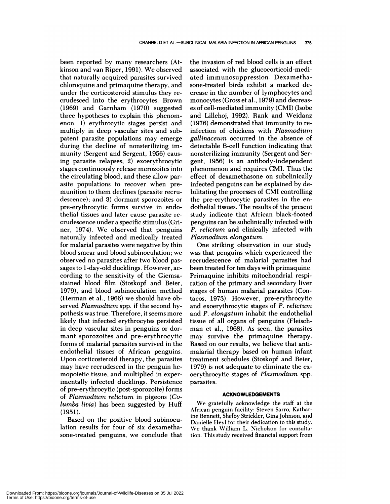been reported by many researchers (Atkinson and van Ripen, 1991). We observed that naturally acquired parasites survived chloroquine and primaquine therapy, and under the corticosteroid stimulus they re crudesced into the erythnocytes. Brown (1969) and Gannham (1970) suggested three hypotheses to explain this phenom enon: 1) erythrocytic stages persist and multiply in deep vascular sites and subpatent parasite populations may emerge during the decline of nonstenilizing immunity (Sergent and Sergent, 1956) causing parasite relapses; 2) exoerythrocytic stages continuously release menozoites into the circulating blood, and these allow parasite populations to recover when premunition to them declines (parasite recru descence); and 3) dormant sponozoites or pre-erythnocytic forms survive in endothelia! tissues and later cause parasite re crudescence under a specific stimulus (Gniner, 1974). We observed that penguins naturally infected and medically treated for malarial parasites were negative by thin blood smear and blood subinoculation; we observed no parasites after two blood passages to 1-day-old ducklings. However, ac cording to the sensitivity of the Giemsastained blood film (Stoskopf and Beien, 1979), and blood subinoculation method (Herman et a!., 1966) we should have observed *Plasmodiurn* spp. if the second hypothesis was true. Therefore, it seems more likely that infected erythrocytes persisted in deep vascular sites in penguins on dormant sporozoites and pre-erythrocytic forms of malarial parasites survived in the endothelial tissues of African penguins. Upon corticostenoid therapy, the parasites may have recrudesced in the penguin hemopoietic tissue, and multiplied in experimentally infected ducklings. Persistence of pne-erythrocytic (post-sporozoite) forms of *Plasmodium relictum* in pigeons *(Golurnba livia)* has been suggested by Huff (1951).

Based on the positive blood subinoculation results for four of six dexamethasone-treated penguins, we conclude that the invasion of red blood cells is an effect associated with the glucocorticoid-mediated immunosuppression. Dexamethasone-treated birds exhibit a marked decrease in the number of lymphocytes and monocytes (Gross et a!., 1979) and decreas es of cell-mediated immunity (CMI) (Isobe and Lillehoj, 1992). Rank and Weidanz (1976) demonstrated that immunity to reinfection of chickens with *Plasrnodiurn gallinaceurn* occurred in the absence of detectable B-cell function indicating that nonstenilizing immunity (Sergent and Sergent, 1956) is an antibody-independent phenomenon and requires CMI. Thus the effect of dexamethasone on subclinically infected penguins can be explained by debilitating the processes of CMI controlling the pre-erythrocytic parasites in the endothelial tissues. The results of the present study indicate that African black-footed penguins can be subclinically infected with *P. relicturn* and clinically infected with *Plasmodium elongaturn.*

One striking observation in our study was that penguins which experienced the recrudescence of malarial parasites had been treated for ten days with primaquine. Primaquine inhibits mitochondrial respiration of the primary and secondary liver stages of human malarial parasites (Contacos, 1973). However, pre-erythrocytic and exoenythnocytic stages of *P. relicturn* and *P. elongatum* inhabit the endothelial tissue of all organs of penguins (Fleischman et al., 1968). As seen, the parasites may survive the primaquine therapy. Based on our results, we believe that antimalarial therapy based on human infant treatment schedules (Stoskopf and Beien, 1979) is not adequate to eliminate the ex oenythnocytic stages of *Plasmodiurn* spp. parasites.

### **ACKNOWLEDGEMENTS**

We gratefully acknowledge the staff at the African penguin facility: Steven Sarro, Katharine Bennett, Shelby Strickler, Gina Johnson, and Danielle Heyl for their dedication to this study. We thank William L. Nicholson for consultation. This study received financial support from